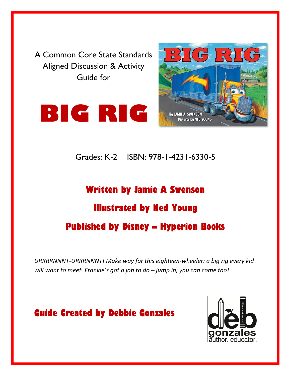A Common Core State Standards Aligned Discussion & Activity Guide for





Grades: K-2 ISBN: 978-1-4231-6330-5

# **Written by Jamie A Swenson Illustrated by Ned Young Published by Disney – Hyperion Books**

*URRRRNNNT-URRRNNNT! Make way for this eighteen-wheeler: a big rig every kid will want to meet. Frankie's got a job to do – jump in, you can come too!*

# **Guide Created by Debbie Gonzales**

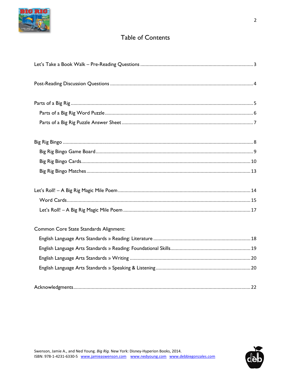

## **Table of Contents**

| Common Core State Standards Alignment: |  |
|----------------------------------------|--|
|                                        |  |
|                                        |  |
|                                        |  |
|                                        |  |
|                                        |  |

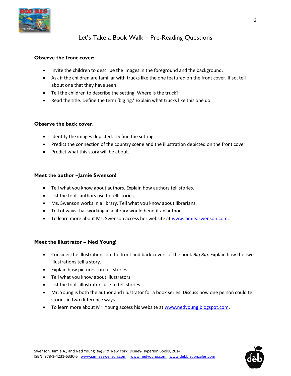

## Let's Take a Book Walk – Pre-Reading Questions

### <span id="page-2-0"></span>**Observe the front cover:**

- Invite the children to describe the images in the foreground and the background.
- Ask if the children are familiar with trucks like the one featured on the front cover. If so, tell about one that they have seen.
- Tell the children to describe the setting. Where is the truck?
- Read the title. Define the term 'big rig.' Explain what trucks like this one do.

### **Observe the back cover.**

- Identify the images depicted. Define the setting.
- Predict the connection of the country scene and the illustration depicted on the front cover.
- Predict what this story will be about.

### **Meet the author –Jamie Swenson!**

- Tell what you know about authors. Explain how authors tell stories.
- List the tools authors use to tell stories.
- Ms. Swenson works in a library. Tell what you know about librarians.
- Tell of ways that working in a library would benefit an author.
- To learn more about Ms. Swenson access her website a[t www.jamieaswenson.com.](http://www.jamieaswenson.com/)

### **Meet the illustrator – Ned Young!**

- Consider the illustrations on the front and back covers of the book *Big Rig*. Explain how the two illustrations tell a story.
- Explain how pictures can tell stories.
- Tell what you know about illustrators.
- List the tools illustrators use to tell stories.
- Mr. Young is both the author and illustrator for a book series. Discuss how one person could tell stories in two difference ways.
- To learn more about Mr. Young access his website at [www.nedyoung.blogspot.com.](http://www.nedyoung.blogspot.com/)

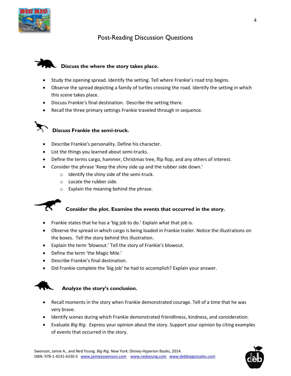

## Post-Reading Discussion Questions

<span id="page-3-0"></span>

- Study the opening spread. Identify the setting. Tell where Frankie's road trip begins.
- Observe the spread depicting a family of turtles crossing the road. Identify the setting in which this scene takes place.
- Discuss Frankie's final destination. Describe the setting there.
- Recall the three primary settings Frankie traveled through in sequence.



## <sup>K</sup>**Discuss Frankie the semi-truck.**

- Describe Frankie's personality. Define his character.
- List the things you learned about semi-trucks.
- Define the terms cargo, hammer, Christmas tree, flip flop, and any others of interest.
- Consider the phrase 'Keep the shiny side up and the rubber side down.'
	- o Identify the shiny side of the semi-truck.
	- o Locate the rubber side.
	- o Explain the meaning behind the phrase.



### Consider the plot. Examine the events that occurred in the story.

- Frankie states that he has a 'big job to do.' Explain what that job is.
- Observe the spread in which cargo is being loaded in Frankie trailer. Notice the illustrations on the boxes. Tell the story behind this illustration.
- Explain the term 'blowout.' Tell the story of Frankie's blowout.
- Define the term 'the Magic Mile.'
- Describe Frankie's final destination.
- Did Frankie complete the 'big job' he had to accomplish? Explain your answer.



- Recall moments in the story when Frankie demonstrated courage. Tell of a time that he was very brave.
- Identify scenes during which Frankie demonstrated friendliness, kindness, and consideration.
- Evaluate *Big Rig*. Express your opinion about the story. Support your opinion by citing examples of events that occurred in the story.

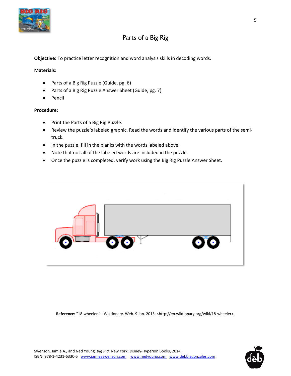

## Parts of a Big Rig

<span id="page-4-0"></span>**Objective:** To practice letter recognition and word analysis skills in decoding words.

### **Materials:**

- Parts of a Big Rig Puzzle (Guide, pg. 6)
- Parts of a Big Rig Puzzle Answer Sheet (Guide, pg. 7)
- Pencil

### **Procedure:**

- Print the Parts of a Big Rig Puzzle.
- Review the puzzle's labeled graphic. Read the words and identify the various parts of the semitruck.
- In the puzzle, fill in the blanks with the words labeled above.
- Note that not all of the labeled words are included in the puzzle.
- Once the puzzle is completed, verify work using the Big Rig Puzzle Answer Sheet.



**Reference:** "18-wheeler." - Wiktionary. Web. 9 Jan. 2015. <http://en.wiktionary.org/wiki/18-wheeler>.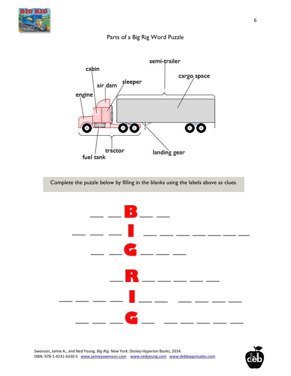<span id="page-5-0"></span>

### Parts of a Big Rig Word Puzzle



Complete the puzzle below by filling in the blanks using the labels above as clues.



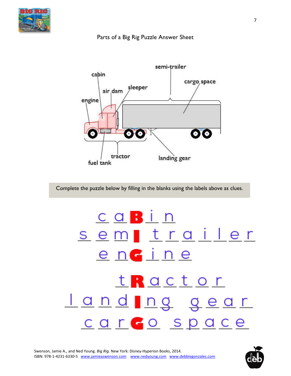<span id="page-6-0"></span>

Parts of a Big Rig Puzzle Answer Sheet



Complete the puzzle below by filling in the blanks using the labels above as clues.

# $\underline{c}$   $\underline{a}$   $\underline{B}$   $\underline{i}$   $\underline{n}$ <u>sem trailer</u> <u>enGine</u> <u>tractor</u> <u>landng gear</u> <u>carco space</u>

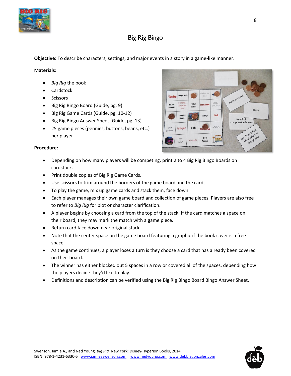

## Big Rig Bingo

<span id="page-7-0"></span>**Objective:** To describe characters, settings, and major events in a story in a game-like manner.

### **Materials:**

- *Big Rig* the book
- Cardstock
- Scissors
- Big Rig Bingo Board (Guide, pg. 9)
- Big Rig Game Cards (Guide, pg. 10-12)
- Big Rig Bingo Answer Sheet (Guide, pg. 13)
- 25 game pieces (pennies, buttons, beans, etc.) per player

### **Procedure:**

- Depending on how many players will be competing, print 2 to 4 Big Rig Bingo Boards on cardstock.
- Print double copies of Big Rig Game Cards.
- Use scissors to trim around the borders of the game board and the cards.
- To play the game, mix up game cards and stack them, face down.
- Each player manages their own game board and collection of game pieces. Players are also free to refer to *Big Rig* for plot or character clarification.
- A player begins by choosing a card from the top of the stack. If the card matches a space on their board, they may mark the match with a game piece.
- Return card face down near original stack.
- Note that the center space on the game board featuring a graphic if the book cover is a free space.
- As the game continues, a player loses a turn is they choose a card that has already been covered on their board.
- The winner has either blocked out 5 spaces in a row or covered all of the spaces, depending how the players decide they'd like to play.
- Definitions and description can be verified using the Big Rig Bingo Board Bingo Answer Sheet.



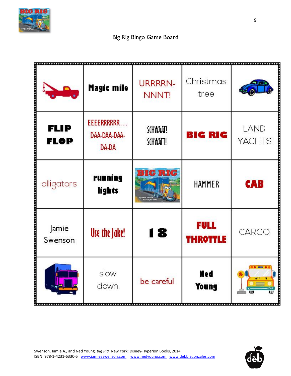

Big Rig Bingo Game Board

<span id="page-8-0"></span>

|                            | Magic mile                          | <b>URRRRN-</b><br>NNNT! | Christmas<br>tree              |                       |
|----------------------------|-------------------------------------|-------------------------|--------------------------------|-----------------------|
| <b>FLIP</b><br><b>FLOP</b> | EEEERRRRRR<br>DAA-DAA-DAA-<br>DA-DA | SCHWAAT!<br>SCHWATT!    | BIG RIG                        | LAND<br><b>YACHTS</b> |
| alligators                 | <b>running</b><br><b>lights</b>     | <b>BIG RIG</b>          | HAMMER                         | <b>CAB</b>            |
| <b>Jamie</b><br>Swenson    | Use the Jake!                       | 18                      | <b>FULL</b><br><b>THROTTLE</b> | CARGO                 |
|                            | slow<br>down                        | be careful              | Ned<br><b>Young</b>            |                       |

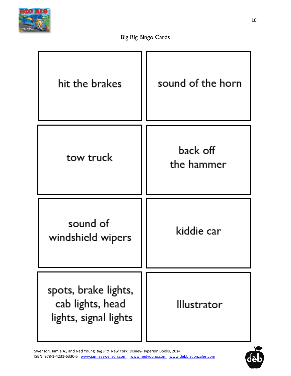

L

<span id="page-9-0"></span>

| hit the brakes                                                    | sound of the horn      |
|-------------------------------------------------------------------|------------------------|
| tow truck                                                         | back off<br>the hammer |
| sound of<br>windshield wipers                                     | kiddie car             |
| spots, brake lights,<br>cab lights, head<br>lights, signal lights | lllustrator            |

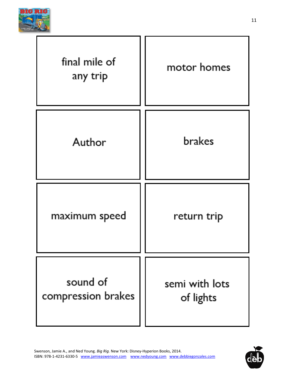



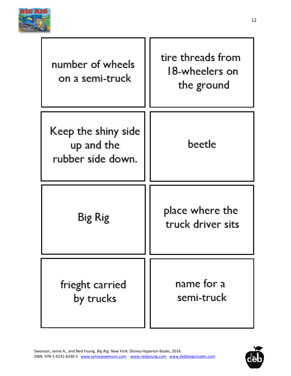



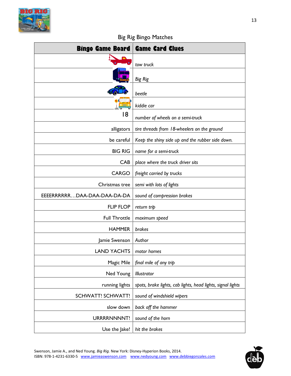

## Big Rig Bingo Matches

<span id="page-12-0"></span>

| <b>Bingo Game Board</b>     | <b>Game Card Clues</b>                                      |
|-----------------------------|-------------------------------------------------------------|
|                             | tow truck                                                   |
|                             | <b>Big Rig</b>                                              |
|                             | beetle                                                      |
|                             | kiddie car                                                  |
| 8                           | number of wheels on a semi-truck                            |
| alligators                  | tire threads from 18-wheelers on the ground                 |
| be careful                  | Keep the shiny side up and the rubber side down.            |
| <b>BIG RIG</b>              | name for a semi-truck                                       |
| <b>CAB</b>                  | place where the truck driver sits                           |
| <b>CARGO</b>                | freight carried by trucks                                   |
| Christmas tree              | semi with lots of lights                                    |
| EEEERRRRRRDAA-DAA-DAA-DA-DA | sound of compression brakes                                 |
| <b>FLIP FLOP</b>            | return trip                                                 |
| <b>Full Throttle</b>        | maximum speed                                               |
| <b>HAMMER</b>               | brakes                                                      |
| Jamie Swenson               | Author                                                      |
| <b>LAND YACHTS</b>          | motor homes                                                 |
| Magic Mile                  | final mile of any trip                                      |
| Ned Young                   | Illustrator                                                 |
| running lights              | spots, brake lights, cab lights, head lights, signal lights |
| <b>SCHWATT! SCHWATT!</b>    | sound of windshield wipers                                  |
| slow down                   | back off the hammer                                         |
| <b>URRRRNNNNT!</b>          | sound of the horn                                           |
| Use the Jake!               | hit the brakes                                              |

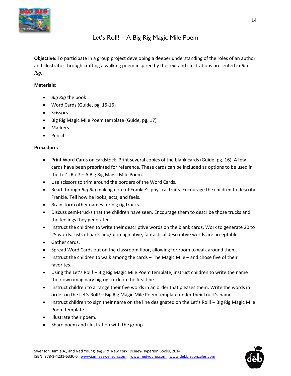

## Let's Roll! – A Big Rig Magic Mile Poem

<span id="page-13-0"></span>**Objective**: To participate in a group project developing a deeper understanding of the roles of an author and illustrator through crafting a walking poem inspired by the text and illustrations presented in *Big Rig*.

### **Materials:**

- *Big Rig* the book
- Word Cards (Guide, pg. 15-16)
- **•** Scissors
- Big Rig Magic Mile Poem template (Guide, pg. 17)
- Markers
- Pencil

### **Procedure:**

- Print Word Cards on cardstock. Print several copies of the blank cards (Guide, pg. 16). A few cards have been preprinted for reference. These cards can be included as options to be used in the Let's Roll! – A Big Rig Magic Mile Poem.
- Use scissors to trim around the borders of the Word Cards.
- Read through *Big Rig* making note of Frankie's physical traits. Encourage the children to describe Frankie. Tell how he looks, acts, and feels.
- Brainstorm other names for big rig trucks.
- Discuss semi-trucks that the children have seen. Encourage them to describe those trucks and the feelings they generated.
- Instruct the children to write their descriptive words on the blank cards. Work to generate 20 to 25 words. Lists of parts and/or imaginative, fantastical descriptive words are acceptable.
- Gather cards.
- Spread Word Cards out on the classroom floor, allowing for room to walk around them.
- Instruct the children to walk among the cards The Magic Mile and chose five of their favorites.
- Using the Let's Roll! Big Rig Magic Mile Poem template, instruct children to write the name their own imaginary big rig truck on the first line.
- Instruct children to arrange their five words in an order that pleases them. Write the words in order on the Let's Roll! – Big Rig Magic Mile Poem template under their truck's name.
- Instruct children to sign their name on the line designated on the Let's Roll! Big Rig Magic Mile Poem template.
- Illustrate their poem.
- Share poem and illustration with the group.

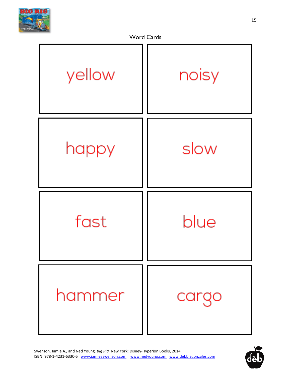

<span id="page-14-0"></span>

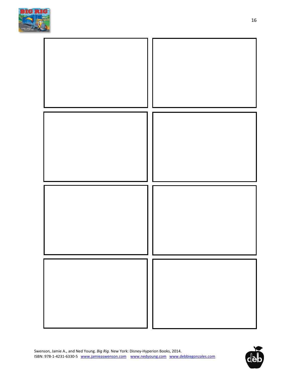

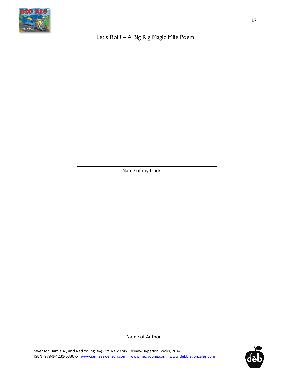<span id="page-16-0"></span>

Let's Roll! – A Big Rig Magic Mile Poem

Name of my truck

Name of Author

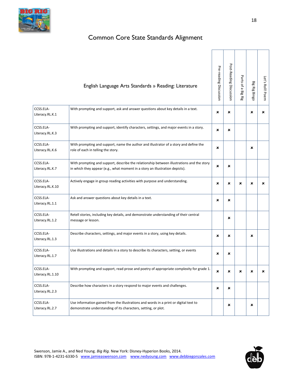

## <span id="page-17-1"></span>Common Core State Standards Alignment

<span id="page-17-0"></span>

|                               | English Language Arts Standards » Reading: Literature                                                                                                                     | Pre-reading Discussion | Post-Reading Discussion   | Parts of a Big Rig | ទីខែ<br><b>Rig Bingo</b> | Let's Roll! Poem |
|-------------------------------|---------------------------------------------------------------------------------------------------------------------------------------------------------------------------|------------------------|---------------------------|--------------------|--------------------------|------------------|
| CCSS.ELA-<br>Literacy.RL.K.1  | With prompting and support, ask and answer questions about key details in a text.                                                                                         | ×                      | ×                         |                    | $\mathbf x$              | ×                |
| CCSS.ELA-<br>Literacy.RL.K.3  | With prompting and support, identify characters, settings, and major events in a story.                                                                                   | ×                      | ×                         |                    |                          |                  |
| CCSS.ELA-<br>Literacy.RL.K.6  | With prompting and support, name the author and illustrator of a story and define the<br>role of each in telling the story.                                               | ×                      |                           |                    | ×                        |                  |
| CCSS.ELA-<br>Literacy.RL.K.7  | With prompting and support, describe the relationship between illustrations and the story<br>in which they appear (e.g., what moment in a story an illustration depicts). | ×                      | $\boldsymbol{\mathsf{x}}$ |                    |                          |                  |
| CCSS.ELA-<br>Literacy.RL.K.10 | Actively engage in group reading activities with purpose and understanding.                                                                                               | ×                      | ×                         | $\mathbf x$        | ×                        | ×                |
| CCSS.ELA-<br>Literacy.RL.1.1  | Ask and answer questions about key details in a text.                                                                                                                     | ×                      | ×                         |                    |                          |                  |
| CCSS.ELA-<br>Literacy.RL.1.2  | Retell stories, including key details, and demonstrate understanding of their central<br>message or lesson.                                                               |                        | ×                         |                    |                          |                  |
| CCSS.ELA-<br>Literacy.RL.1.3  | Describe characters, settings, and major events in a story, using key details.                                                                                            | ×                      | ×                         |                    | ×                        |                  |
| CCSS.ELA-<br>Literacy.RL.1.7  | Use illustrations and details in a story to describe its characters, setting, or events                                                                                   | ×                      | ×                         |                    |                          |                  |
| CCSS.ELA-<br>Literacy.RL.1.10 | With prompting and support, read prose and poetry of appropriate complexity for grade 1.                                                                                  | ×                      | ×                         | ×                  | ×                        | ×                |
| CCSS.ELA-<br>Literacy.RL.2.3  | Describe how characters in a story respond to major events and challenges.                                                                                                | ×                      | ×                         |                    |                          |                  |
| CCSS.ELA-<br>Literacy.RL.2.7  | Use information gained from the illustrations and words in a print or digital text to<br>demonstrate understanding of its characters, setting, or plot.                   |                        | ×                         |                    | ×                        |                  |



 $\Gamma$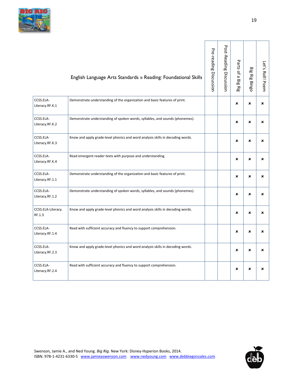

<span id="page-18-0"></span>

|                              | English Language Arts Standards » Reading: Foundational Skills                 | Pre-reading Discussion | Post-Reading<br>Discussion | Parts of a<br>Big<br>Rig | Big<br>s Rig<br>; Bingo | Let's Roll! Poem |
|------------------------------|--------------------------------------------------------------------------------|------------------------|----------------------------|--------------------------|-------------------------|------------------|
| CCSS.ELA-<br>Literacy.RF.K.1 | Demonstrate understanding of the organization and basic features of print.     |                        |                            | ×                        | ×                       | ×                |
| CCSS.ELA-<br>Literacy.RF.K.2 | Demonstrate understanding of spoken words, syllables, and sounds (phonemes).   |                        |                            | ×                        | ×                       | $\mathbf x$      |
| CCSS.ELA-<br>Literacy.RF.K.3 | Know and apply grade-level phonics and word analysis skills in decoding words. |                        |                            | ×                        | ×                       | ×                |
| CCSS.ELA-<br>Literacy.RF.K.4 | Read emergent-reader texts with purpose and understanding.                     |                        |                            | ×                        | ×                       | ×                |
| CCSS.ELA-<br>Literacy.RF.1.1 | Demonstrate understanding of the organization and basic features of print.     |                        |                            | ×                        | ×                       | ×                |
| CCSS.ELA-<br>Literacy.RF.1.2 | Demonstrate understanding of spoken words, syllables, and sounds (phonemes).   |                        |                            | ×                        | ×                       | ×                |
| CCSS.ELA-Literacy.<br>RF.1.3 | Know and apply grade-level phonics and word analysis skills in decoding words. |                        |                            | ×                        | ×                       | ×                |
| CCSS.ELA-<br>Literacy.RF.1.4 | Read with sufficient accuracy and fluency to support comprehension.            |                        |                            | ×                        | ×                       | ×                |
| CCSS.ELA-<br>Literacy.RF.2.3 | Know and apply grade-level phonics and word analysis skills in decoding words. |                        |                            | ×                        | ×                       | ×                |
| CCSS.ELA-<br>Literacy.RF.2.4 | Read with sufficient accuracy and fluency to support comprehension.            |                        |                            | ×                        | ×                       | ×                |

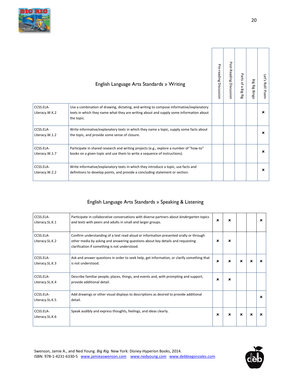

<span id="page-19-0"></span>

|                             | English Language Arts Standards » Writing                                                                                                                                                       | Pre-reading<br>Discussion | Post-Reading<br>Discussion | Parts<br>e te<br><b>Big Rig</b> | Big<br>ξğ<br>Singo | Let's<br><b>Roll! Poem</b> |
|-----------------------------|-------------------------------------------------------------------------------------------------------------------------------------------------------------------------------------------------|---------------------------|----------------------------|---------------------------------|--------------------|----------------------------|
| CCSS.ELA-<br>Literacy.W.K.2 | Use a combination of drawing, dictating, and writing to compose informative/explanatory<br>texts in which they name what they are writing about and supply some information about<br>the topic. |                           |                            |                                 |                    | $\mathbf x$                |
| CCSS.ELA-<br>Literacy.W.1.2 | Write informative/explanatory texts in which they name a topic, supply some facts about<br>the topic, and provide some sense of closure.                                                        |                           |                            |                                 |                    | $\mathbf x$                |
| CCSS.ELA-<br>Literacy.W.1.7 | Participate in shared research and writing projects (e.g., explore a number of "how-to"<br>books on a given topic and use them to write a sequence of instructions).                            |                           |                            |                                 |                    | $\boldsymbol{\mathsf{x}}$  |
| CCSS.ELA-<br>Literacy.W.2.2 | Write informative/explanatory texts in which they introduce a topic, use facts and<br>definitions to develop points, and provide a concluding statement or section.                             |                           |                            |                                 |                    | $\mathbf x$                |

### English Language Arts Standards » Speaking & Listening

<span id="page-19-1"></span>

| CCSS.ELA-<br>Literacy.SL.K.1 | Participate in collaborative conversations with diverse partners about kindergarten topics<br>and texts with peers and adults in small and larger groups.                                                                | ×                         | x           |   |   | ×            |
|------------------------------|--------------------------------------------------------------------------------------------------------------------------------------------------------------------------------------------------------------------------|---------------------------|-------------|---|---|--------------|
| CCSS.ELA-<br>Literacy.SL.K.2 | Confirm understanding of a text read aloud or information presented orally or through<br>other media by asking and answering questions about key details and requesting<br>clarification if something is not understood. | ×                         | ×           |   |   |              |
| CCSS.ELA-<br>Literacy.SL.K.3 | Ask and answer questions in order to seek help, get information, or clarify something that<br>is not understood.                                                                                                         | $\boldsymbol{\mathsf{x}}$ | $\mathbf x$ | × | × | $\mathbf x$  |
| CCSS.ELA-<br>Literacy.SL.K.4 | Describe familiar people, places, things, and events and, with prompting and support,<br>provide additional detail.                                                                                                      | $\boldsymbol{\mathsf{x}}$ | $\mathbf x$ |   |   |              |
| CCSS.ELA-<br>Literacy.SL.K.5 | Add drawings or other visual displays to descriptions as desired to provide additional<br>detail.                                                                                                                        |                           |             |   |   | $\mathbf{x}$ |
| CCSS.ELA-<br>Literacy.SL.K.6 | Speak audibly and express thoughts, feelings, and ideas clearly.                                                                                                                                                         | $\mathbf x$               | $\mathbf x$ | × | × | ×            |

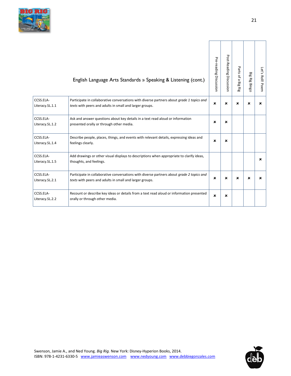

|                              | English Language Arts Standards » Speaking & Listening (cont.)                                                                                       | Pre-reading Discussion | Post-Reading Discussion | Parts of a<br><b>Big Rig</b> | Big<br><b>Rig Bingc</b> | Let's Roll! Poem |
|------------------------------|------------------------------------------------------------------------------------------------------------------------------------------------------|------------------------|-------------------------|------------------------------|-------------------------|------------------|
| CCSS.ELA-<br>Literacy.SL.1.1 | Participate in collaborative conversations with diverse partners about grade 1 topics and<br>texts with peers and adults in small and larger groups. | $\mathbf x$            | $\mathbf x$             | $\boldsymbol{\mathsf{x}}$    | ×                       | ×                |
| CCSS.ELA-<br>Literacy.SL.1.2 | Ask and answer questions about key details in a text read aloud or information<br>presented orally or through other media.                           | ×                      | ×                       |                              |                         |                  |
| CCSS.ELA-<br>Literacy.SL.1.4 | Describe people, places, things, and events with relevant details, expressing ideas and<br>feelings clearly.                                         | ×                      | ×                       |                              |                         |                  |
| CCSS.ELA-<br>Literacy.SL.1.5 | Add drawings or other visual displays to descriptions when appropriate to clarify ideas,<br>thoughts, and feelings.                                  |                        |                         |                              |                         | ×                |
| CCSS.ELA-<br>Literacy.SL.2.1 | Participate in collaborative conversations with diverse partners about grade 2 topics and<br>texts with peers and adults in small and larger groups. | ×                      | ×                       | ×                            | ×                       | ×                |
| CCSS.ELA-<br>Literacy.SL.2.2 | Recount or describe key ideas or details from a text read aloud or information presented<br>orally or through other media.                           | ×                      | ×                       |                              |                         |                  |